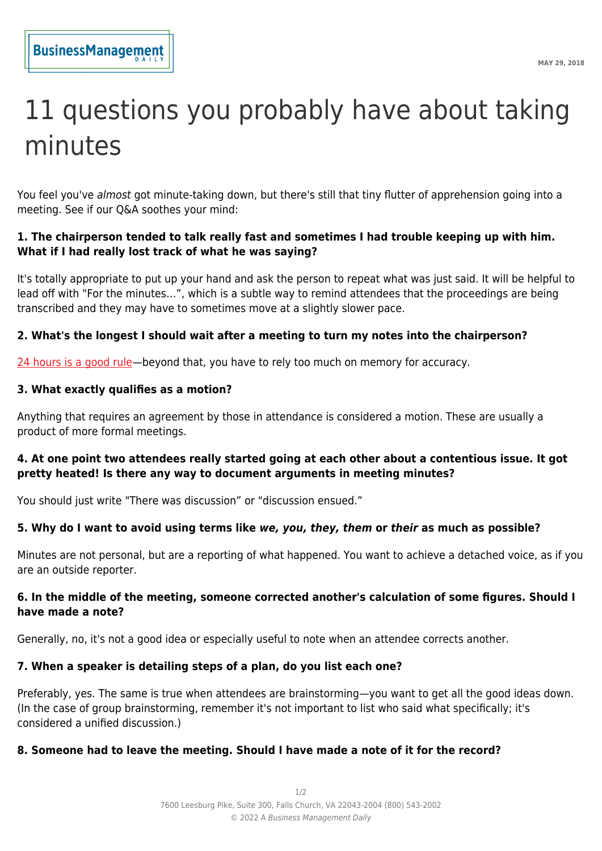# 11 questions you probably have about taking minutes

You feel you've almost got minute-taking down, but there's still that tiny flutter of apprehension going into a meeting. See if our Q&A soothes your mind:

#### **1. The chairperson tended to talk really fast and sometimes I had trouble keeping up with him. What if I had really lost track of what he was saying?**

It's totally appropriate to put up your hand and ask the person to repeat what was just said. It will be helpful to lead off with "For the minutes…", which is a subtle way to remind attendees that the proceedings are being transcribed and they may have to sometimes move at a slightly slower pace.

# **2. What's the longest I should wait after a meeting to turn my notes into the chairperson?**

[24 hours is a good rule—](https://www.businessmanagementdaily.com/25775/distribute-meeting-minutes-promptly/)beyond that, you have to rely too much on memory for accuracy.

## **3. What exactly qualifies as a motion?**

Anything that requires an agreement by those in attendance is considered a motion. These are usually a product of more formal meetings.

#### **4. At one point two attendees really started going at each other about a contentious issue. It got pretty heated! Is there any way to document arguments in meeting minutes?**

You should just write "There was discussion" or "discussion ensued."

# **5. Why do I want to avoid using terms like** *we, you, they, them* **or** *their* **as much as possible?**

Minutes are not personal, but are a reporting of what happened. You want to achieve a detached voice, as if you are an outside reporter.

## **6. In the middle of the meeting, someone corrected another's calculation of some figures. Should I have made a note?**

Generally, no, it's not a good idea or especially useful to note when an attendee corrects another.

## **7. When a speaker is detailing steps of a plan, do you list each one?**

Preferably, yes. The same is true when attendees are brainstorming—you want to get all the good ideas down. (In the case of group brainstorming, remember it's not important to list who said what specifically; it's considered a unified discussion.)

## **8. Someone had to leave the meeting. Should I have made a note of it for the record?**